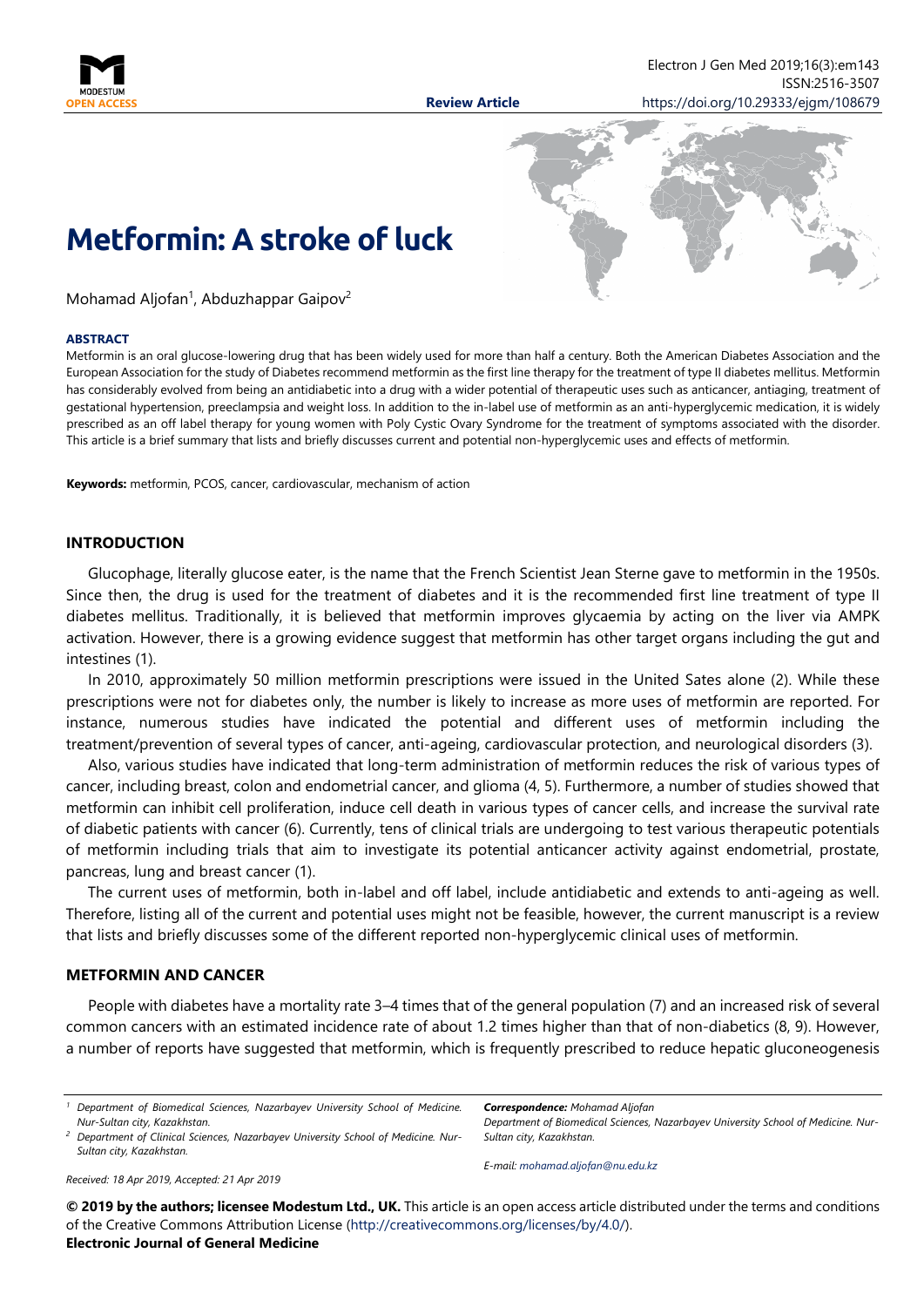



Mohamad Aljofan<sup>1</sup>, Abduzhappar Gaipov<sup>2</sup>

#### **ABSTRACT**

Metformin is an oral glucose-lowering drug that has been widely used for more than half a century. Both the American Diabetes Association and the European Association for the study of Diabetes recommend metformin as the first line therapy for the treatment of type II diabetes mellitus. Metformin has considerably evolved from being an antidiabetic into a drug with a wider potential of therapeutic uses such as anticancer, antiaging, treatment of gestational hypertension, preeclampsia and weight loss. In addition to the in-label use of metformin as an anti-hyperglycemic medication, it is widely prescribed as an off label therapy for young women with Poly Cystic Ovary Syndrome for the treatment of symptoms associated with the disorder. This article is a brief summary that lists and briefly discusses current and potential non-hyperglycemic uses and effects of metformin.

**Keywords:** metformin, PCOS, cancer, cardiovascular, mechanism of action

#### **INTRODUCTION**

Glucophage, literally glucose eater, is the name that the French Scientist Jean Sterne gave to metformin in the 1950s. Since then, the drug is used for the treatment of diabetes and it is the recommended first line treatment of type II diabetes mellitus. Traditionally, it is believed that metformin improves glycaemia by acting on the liver via AMPK activation. However, there is a growing evidence suggest that metformin has other target organs including the gut and intestines (1).

In 2010, approximately 50 million metformin prescriptions were issued in the United Sates alone (2). While these prescriptions were not for diabetes only, the number is likely to increase as more uses of metformin are reported. For instance, numerous studies have indicated the potential and different uses of metformin including the treatment/prevention of several types of cancer, anti-ageing, cardiovascular protection, and neurological disorders (3).

Also, various studies have indicated that long‑term administration of metformin reduces the risk of various types of cancer, including breast, colon and endometrial cancer, and glioma (4, 5). Furthermore, a number of studies showed that metformin can inhibit cell proliferation, induce cell death in various types of cancer cells, and increase the survival rate of diabetic patients with cancer (6). Currently, tens of clinical trials are undergoing to test various therapeutic potentials of metformin including trials that aim to investigate its potential anticancer activity against endometrial, prostate, pancreas, lung and breast cancer (1).

The current uses of metformin, both in-label and off label, include antidiabetic and extends to anti-ageing as well. Therefore, listing all of the current and potential uses might not be feasible, however, the current manuscript is a review that lists and briefly discusses some of the different reported non-hyperglycemic clinical uses of metformin.

## **METFORMIN AND CANCER**

People with diabetes have a mortality rate 3–4 times that of the general population (7) and an increased risk of several common cancers with an estimated incidence rate of about 1.2 times higher than that of non-diabetics (8, 9). However, a number of reports have suggested that metformin, which is frequently prescribed to reduce hepatic gluconeogenesis

*Correspondence: Mohamad Aljofan*

*Department of Biomedical Sciences, Nazarbayev University School of Medicine. Nur-Sultan city, Kazakhstan.*

*E-mail: [mohamad.aljofan@nu.edu.kz](mailto:mohamad.aljofan@nu.edu.kz)*

*Received: 18 Apr 2019, Accepted: 21 Apr 2019*

**© 2019 by the authors; licensee Modestum Ltd., UK.** This article is an open access article distributed under the terms and conditions of the Creative Commons Attribution License [\(http://creativecommons.org/licenses/by/4.0/\)](http://creativecommons.org/licenses/by/4.0/).

#### **Electronic Journal of General Medicine**

*<sup>1</sup> Department of Biomedical Sciences, Nazarbayev University School of Medicine. Nur-Sultan city, Kazakhstan.*

*<sup>2</sup> Department of Clinical Sciences, Nazarbayev University School of Medicine. Nur-Sultan city, Kazakhstan.*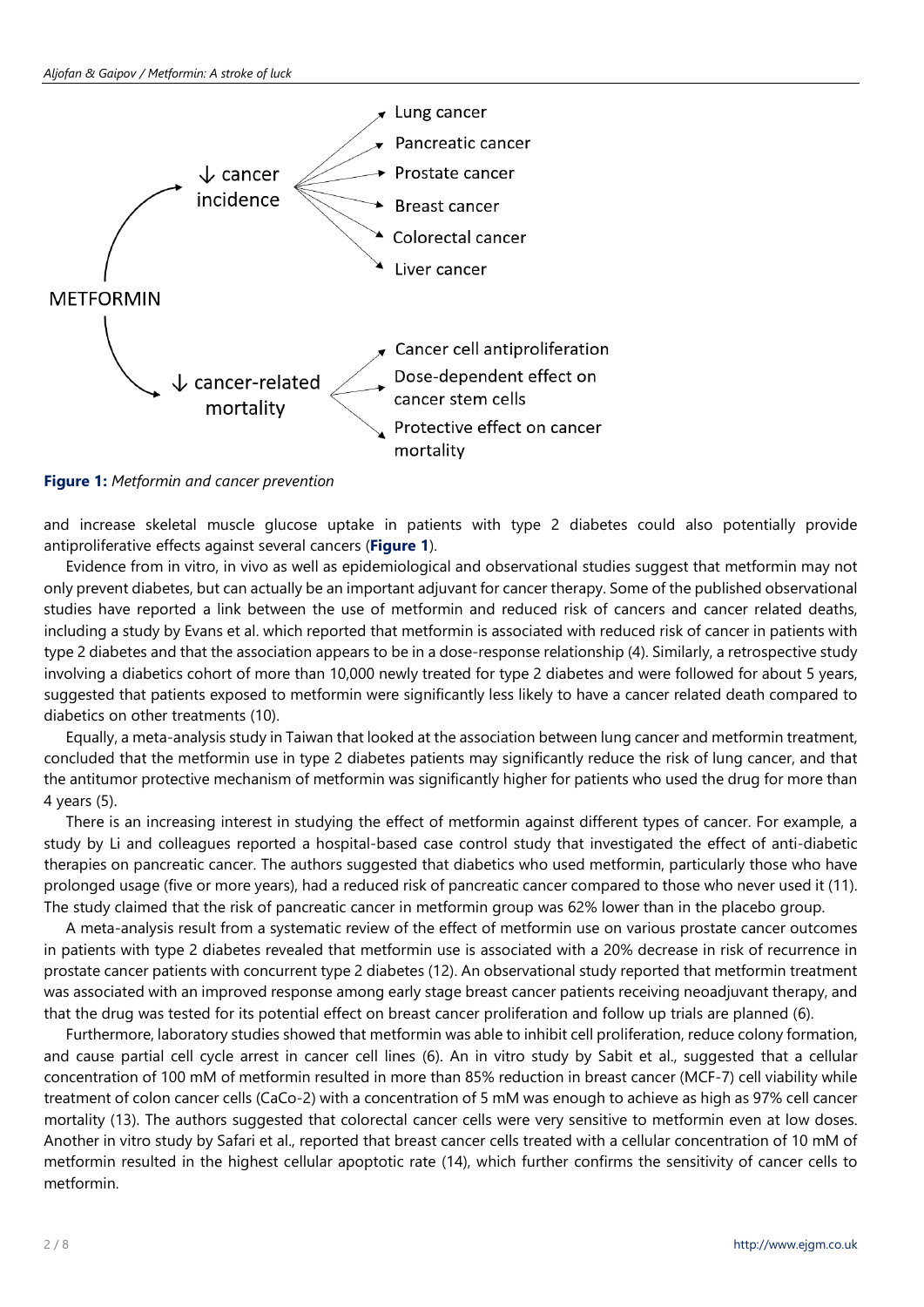

**Figure 1:** *Metformin and cancer prevention*

and increase skeletal muscle glucose uptake in patients with type 2 diabetes could also potentially provide antiproliferative effects against several cancers (**Figure 1**).

Evidence from in vitro, in vivo as well as epidemiological and observational studies suggest that metformin may not only prevent diabetes, but can actually be an important adjuvant for cancer therapy. Some of the published observational studies have reported a link between the use of metformin and reduced risk of cancers and cancer related deaths, including a study by Evans et al. which reported that metformin is associated with reduced risk of cancer in patients with type 2 diabetes and that the association appears to be in a dose-response relationship (4). Similarly, a retrospective study involving a diabetics cohort of more than 10,000 newly treated for type 2 diabetes and were followed for about 5 years, suggested that patients exposed to metformin were significantly less likely to have a cancer related death compared to diabetics on other treatments (10).

Equally, a meta-analysis study in Taiwan that looked at the association between lung cancer and metformin treatment, concluded that the metformin use in type 2 diabetes patients may significantly reduce the risk of lung cancer, and that the antitumor protective mechanism of metformin was significantly higher for patients who used the drug for more than 4 years (5).

There is an increasing interest in studying the effect of metformin against different types of cancer. For example, a study by Li and colleagues reported a hospital-based case control study that investigated the effect of anti-diabetic therapies on pancreatic cancer. The authors suggested that diabetics who used metformin, particularly those who have prolonged usage (five or more years), had a reduced risk of pancreatic cancer compared to those who never used it (11). The study claimed that the risk of pancreatic cancer in metformin group was 62% lower than in the placebo group.

A meta-analysis result from a systematic review of the effect of metformin use on various prostate cancer outcomes in patients with type 2 diabetes revealed that metformin use is associated with a 20% decrease in risk of recurrence in prostate cancer patients with concurrent type 2 diabetes (12). An observational study reported that metformin treatment was associated with an improved response among early stage breast cancer patients receiving neoadjuvant therapy, and that the drug was tested for its potential effect on breast cancer proliferation and follow up trials are planned (6).

Furthermore, laboratory studies showed that metformin was able to inhibit cell proliferation, reduce colony formation, and cause partial cell cycle arrest in cancer cell lines (6). An in vitro study by Sabit et al., suggested that a cellular concentration of 100 mM of metformin resulted in more than 85% reduction in breast cancer (MCF-7) cell viability while treatment of colon cancer cells (CaCo-2) with a concentration of 5 mM was enough to achieve as high as 97% cell cancer mortality (13). The authors suggested that colorectal cancer cells were very sensitive to metformin even at low doses. Another in vitro study by Safari et al., reported that breast cancer cells treated with a cellular concentration of 10 mM of metformin resulted in the highest cellular apoptotic rate (14), which further confirms the sensitivity of cancer cells to metformin.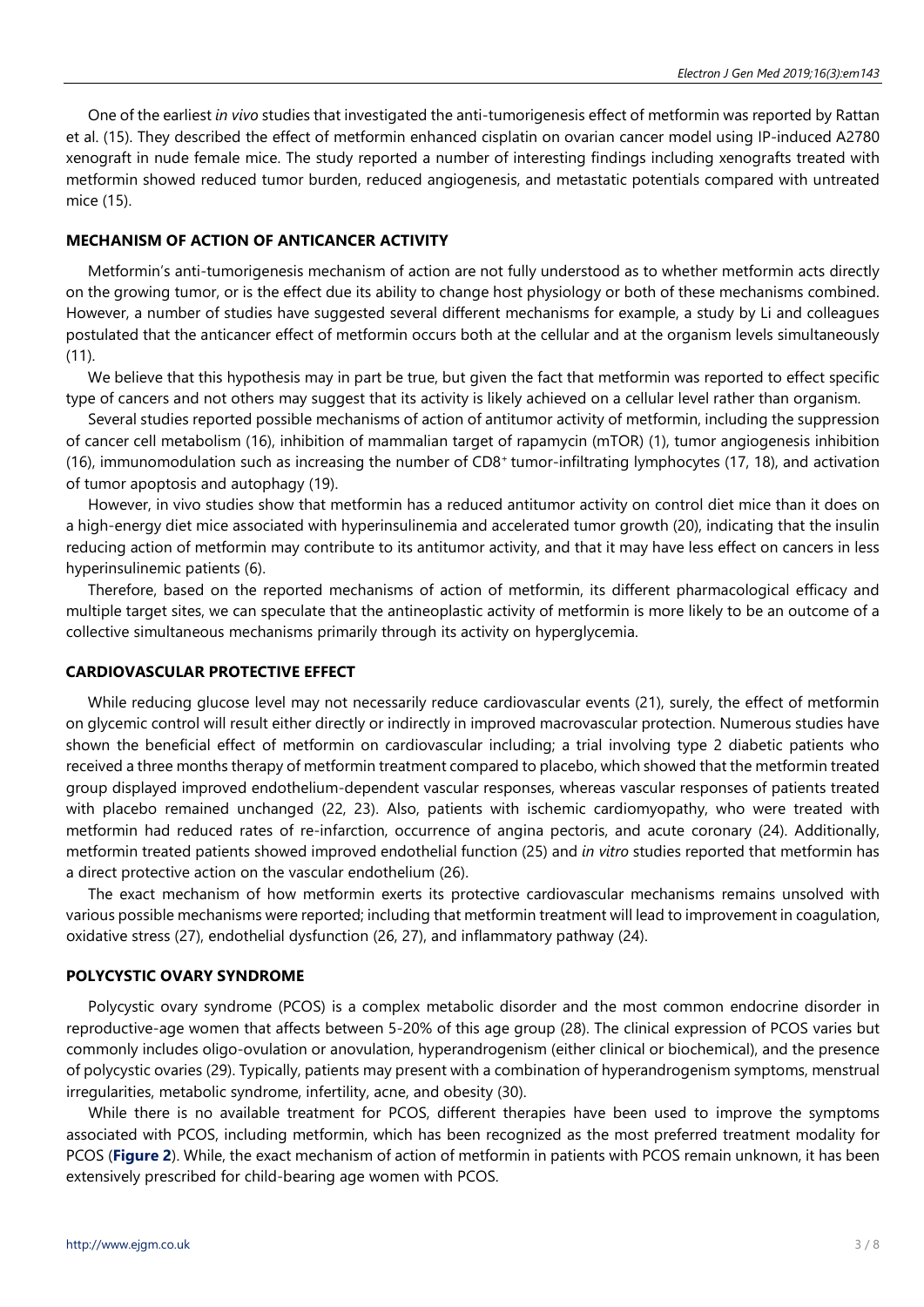One of the earliest *in vivo* studies that investigated the anti-tumorigenesis effect of metformin was reported by Rattan et al. (15). They described the effect of metformin enhanced cisplatin on ovarian cancer model using IP-induced A2780 xenograft in nude female mice. The study reported a number of interesting findings including xenografts treated with metformin showed reduced tumor burden, reduced angiogenesis, and metastatic potentials compared with untreated mice (15).

## **MECHANISM OF ACTION OF ANTICANCER ACTIVITY**

Metformin's anti-tumorigenesis mechanism of action are not fully understood as to whether metformin acts directly on the growing tumor, or is the effect due its ability to change host physiology or both of these mechanisms combined. However, a number of studies have suggested several different mechanisms for example, a study by Li and colleagues postulated that the anticancer effect of metformin occurs both at the cellular and at the organism levels simultaneously (11).

We believe that this hypothesis may in part be true, but given the fact that metformin was reported to effect specific type of cancers and not others may suggest that its activity is likely achieved on a cellular level rather than organism.

Several studies reported possible mechanisms of action of antitumor activity of metformin, including the suppression of cancer cell metabolism (16), inhibition of mammalian target of rapamycin (mTOR) (1), tumor angiogenesis inhibition (16), immunomodulation such as increasing the number of CD8+ tumor-infiltrating lymphocytes (17, 18), and activation of tumor apoptosis and autophagy (19).

However, in vivo studies show that metformin has a reduced antitumor activity on control diet mice than it does on a high-energy diet mice associated with hyperinsulinemia and accelerated tumor growth (20), indicating that the insulin reducing action of metformin may contribute to its antitumor activity, and that it may have less effect on cancers in less hyperinsulinemic patients (6).

Therefore, based on the reported mechanisms of action of metformin, its different pharmacological efficacy and multiple target sites, we can speculate that the antineoplastic activity of metformin is more likely to be an outcome of a collective simultaneous mechanisms primarily through its activity on hyperglycemia.

# **CARDIOVASCULAR PROTECTIVE EFFECT**

While reducing glucose level may not necessarily reduce cardiovascular events (21), surely, the effect of metformin on glycemic control will result either directly or indirectly in improved macrovascular protection. Numerous studies have shown the beneficial effect of metformin on cardiovascular including; a trial involving type 2 diabetic patients who received a three months therapy of metformin treatment compared to placebo, which showed that the metformin treated group displayed improved endothelium-dependent vascular responses, whereas vascular responses of patients treated with placebo remained unchanged (22, 23). Also, patients with ischemic cardiomyopathy, who were treated with metformin had reduced rates of re-infarction, occurrence of angina pectoris, and acute coronary (24). Additionally, metformin treated patients showed improved endothelial function (25) and *in vitro* studies reported that metformin has a direct protective action on the vascular endothelium (26).

The exact mechanism of how metformin exerts its protective cardiovascular mechanisms remains unsolved with various possible mechanisms were reported; including that metformin treatment will lead to improvement in coagulation, oxidative stress (27), endothelial dysfunction (26, 27), and inflammatory pathway (24).

## **POLYCYSTIC OVARY SYNDROME**

Polycystic ovary syndrome (PCOS) is a complex metabolic disorder and the most common endocrine disorder in reproductive-age women that affects between 5-20% of this age group (28). The clinical expression of PCOS varies but commonly includes oligo-ovulation or anovulation, hyperandrogenism (either clinical or biochemical), and the presence of polycystic ovaries (29). Typically, patients may present with a combination of hyperandrogenism symptoms, menstrual irregularities, metabolic syndrome, infertility, acne, and obesity (30).

While there is no available treatment for PCOS, different therapies have been used to improve the symptoms associated with PCOS, including metformin, which has been recognized as the most preferred treatment modality for PCOS (**Figure 2**). While, the exact mechanism of action of metformin in patients with PCOS remain unknown, it has been extensively prescribed for child-bearing age women with PCOS.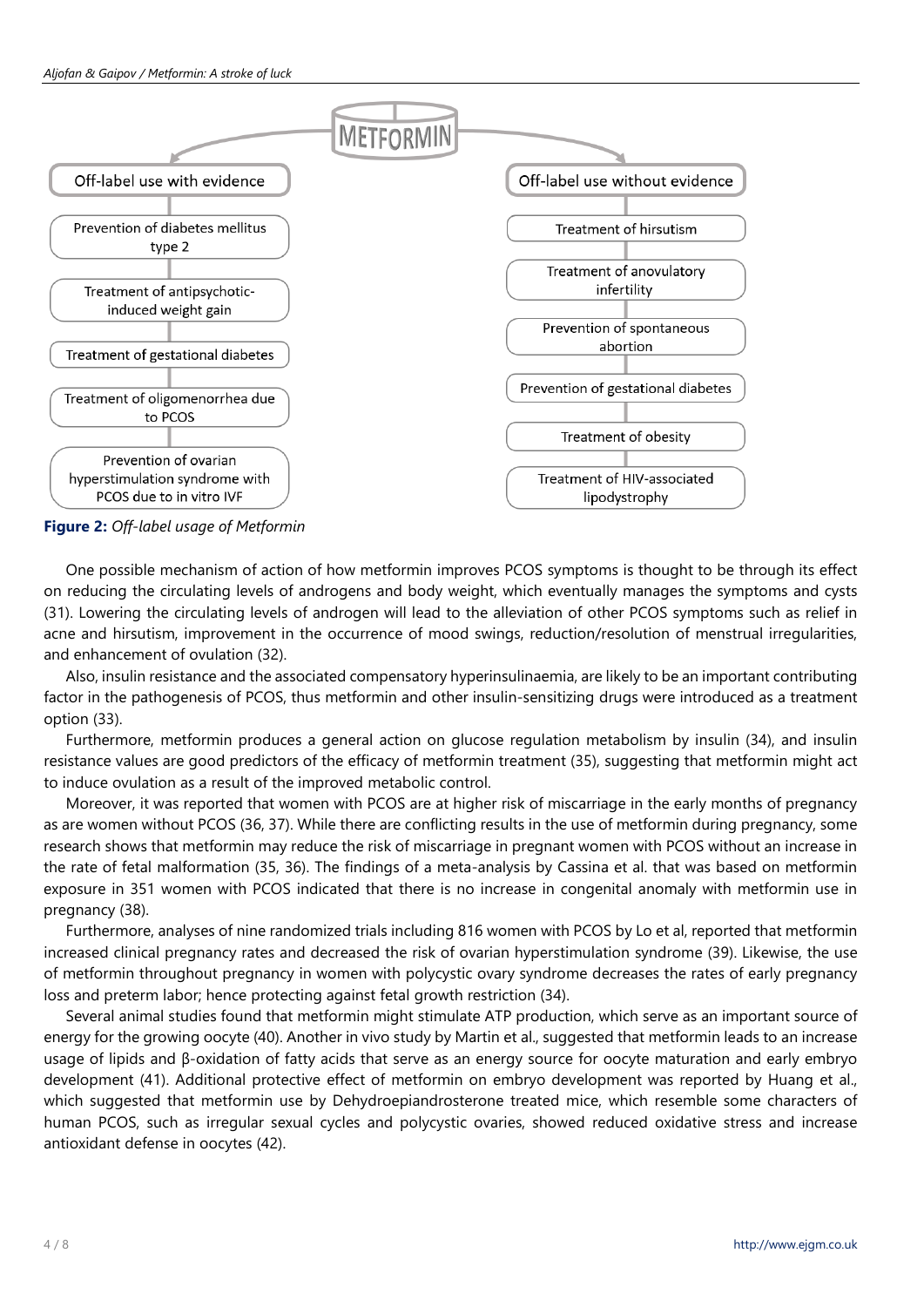

**Figure 2:** *Off-label usage of Metformin*

One possible mechanism of action of how metformin improves PCOS symptoms is thought to be through its effect on reducing the circulating levels of androgens and body weight, which eventually manages the symptoms and cysts (31). Lowering the circulating levels of androgen will lead to the alleviation of other PCOS symptoms such as relief in acne and hirsutism, improvement in the occurrence of mood swings, reduction/resolution of menstrual irregularities, and enhancement of ovulation (32).

Also, insulin resistance and the associated compensatory hyperinsulinaemia, are likely to be an important contributing factor in the pathogenesis of PCOS, thus metformin and other insulin-sensitizing drugs were introduced as a treatment option (33).

Furthermore, metformin produces a general action on glucose regulation metabolism by insulin (34), and insulin resistance values are good predictors of the efficacy of metformin treatment (35), suggesting that metformin might act to induce ovulation as a result of the improved metabolic control.

Moreover, it was reported that women with PCOS are at higher risk of miscarriage in the early months of pregnancy as are women without PCOS (36, 37). While there are conflicting results in the use of metformin during pregnancy, some research shows that metformin may reduce the risk of miscarriage in pregnant women with PCOS without an increase in the rate of fetal malformation (35, 36). The findings of a meta-analysis by Cassina et al. that was based on metformin exposure in 351 women with PCOS indicated that there is no increase in congenital anomaly with metformin use in pregnancy (38).

Furthermore, analyses of nine randomized trials including 816 women with PCOS by Lo et al, reported that metformin increased clinical pregnancy rates and decreased the risk of ovarian hyperstimulation syndrome (39). Likewise, the use of metformin throughout pregnancy in women with polycystic ovary syndrome decreases the rates of early pregnancy loss and preterm labor; hence protecting against fetal growth restriction (34).

Several animal studies found that metformin might stimulate ATP production, which serve as an important source of energy for the growing oocyte (40). Another in vivo study by Martin et al., suggested that metformin leads to an increase usage of lipids and β-oxidation of fatty acids that serve as an energy source for oocyte maturation and early embryo development (41). Additional protective effect of metformin on embryo development was reported by Huang et al., which suggested that metformin use by Dehydroepiandrosterone treated mice, which resemble some characters of human PCOS, such as irregular sexual cycles and polycystic ovaries, showed reduced oxidative stress and increase antioxidant defense in oocytes (42).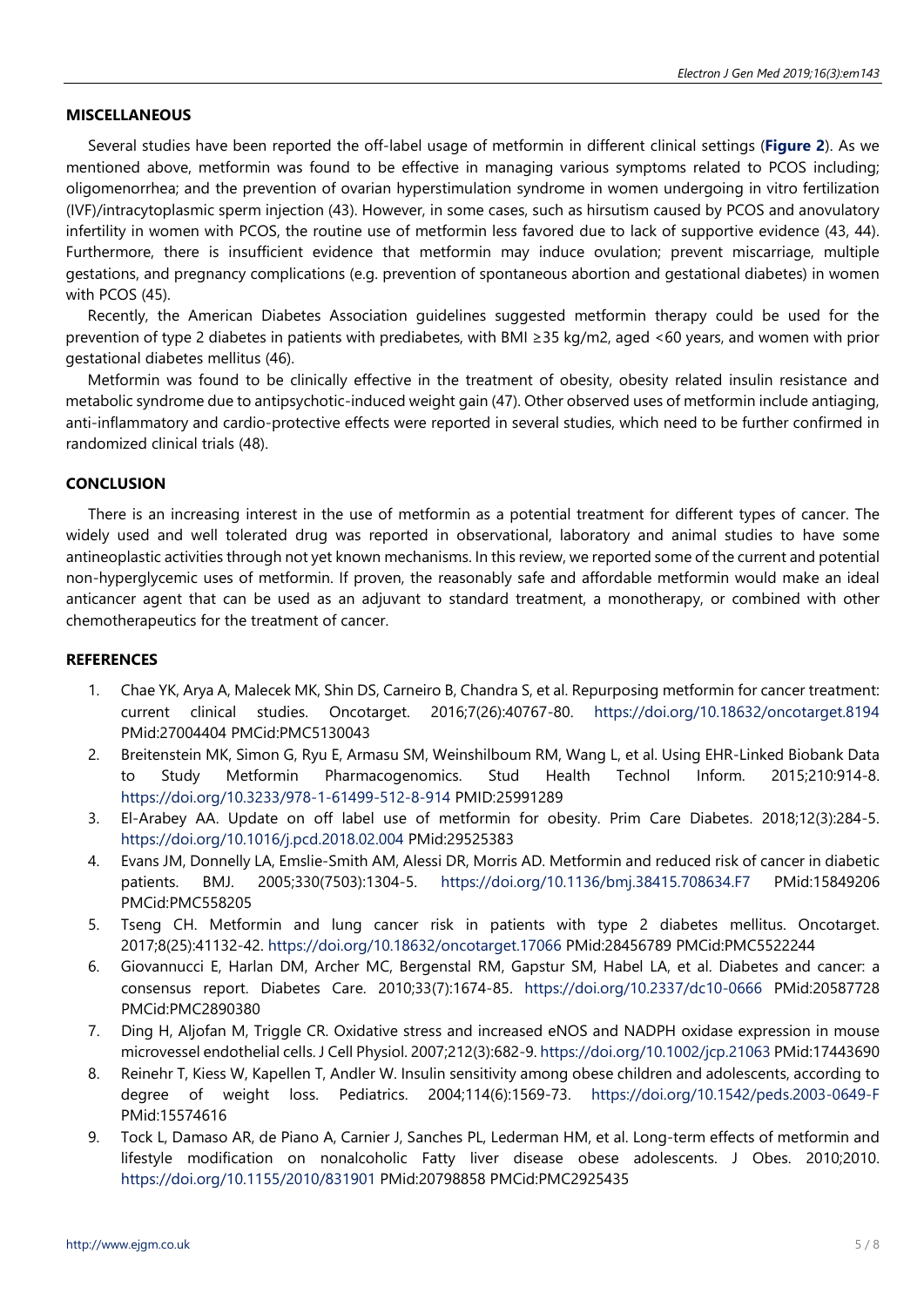# **MISCELLANEOUS**

Several studies have been reported the off-label usage of metformin in different clinical settings (**Figure 2**). As we mentioned above, metformin was found to be effective in managing various symptoms related to PCOS including; oligomenorrhea; and the prevention of ovarian hyperstimulation syndrome in women undergoing in vitro fertilization (IVF)/intracytoplasmic sperm injection (43). However, in some cases, such as hirsutism caused by PCOS and anovulatory infertility in women with PCOS, the routine use of metformin less favored due to lack of supportive evidence (43, 44). Furthermore, there is insufficient evidence that metformin may induce ovulation; prevent miscarriage, multiple gestations, and pregnancy complications (e.g. prevention of spontaneous abortion and gestational diabetes) in women with PCOS (45).

Recently, the American Diabetes Association guidelines suggested metformin therapy could be used for the prevention of type 2 diabetes in patients with prediabetes, with BMI ≥35 kg/m2, aged <60 years, and women with prior gestational diabetes mellitus (46).

Metformin was found to be clinically effective in the treatment of obesity, obesity related insulin resistance and metabolic syndrome due to antipsychotic-induced weight gain (47). Other observed uses of metformin include antiaging, anti-inflammatory and cardio-protective effects were reported in several studies, which need to be further confirmed in randomized clinical trials (48).

#### **CONCLUSION**

There is an increasing interest in the use of metformin as a potential treatment for different types of cancer. The widely used and well tolerated drug was reported in observational, laboratory and animal studies to have some antineoplastic activities through not yet known mechanisms. In this review, we reported some of the current and potential non-hyperglycemic uses of metformin. If proven, the reasonably safe and affordable metformin would make an ideal anticancer agent that can be used as an adjuvant to standard treatment, a monotherapy, or combined with other chemotherapeutics for the treatment of cancer.

# **REFERENCES**

- 1. Chae YK, Arya A, Malecek MK, Shin DS, Carneiro B, Chandra S, et al. Repurposing metformin for cancer treatment: current clinical studies. Oncotarget. 2016;7(26):40767-80. <https://doi.org/10.18632/oncotarget.8194> PMid:27004404 PMCid:PMC5130043
- 2. Breitenstein MK, Simon G, Ryu E, Armasu SM, Weinshilboum RM, Wang L, et al. Using EHR-Linked Biobank Data to Study Metformin Pharmacogenomics. Stud Health Technol Inform. 2015;210:914-8. <https://doi.org/10.3233/978-1-61499-512-8-914> PMID:25991289
- 3. El-Arabey AA. Update on off label use of metformin for obesity. Prim Care Diabetes. 2018;12(3):284-5. <https://doi.org/10.1016/j.pcd.2018.02.004> PMid:29525383
- 4. Evans JM, Donnelly LA, Emslie-Smith AM, Alessi DR, Morris AD. Metformin and reduced risk of cancer in diabetic patients. BMJ. 2005;330(7503):1304-5. <https://doi.org/10.1136/bmj.38415.708634.F7> PMid:15849206 PMCid:PMC558205
- 5. Tseng CH. Metformin and lung cancer risk in patients with type 2 diabetes mellitus. Oncotarget. 2017;8(25):41132-42. <https://doi.org/10.18632/oncotarget.17066> PMid:28456789 PMCid:PMC5522244
- 6. Giovannucci E, Harlan DM, Archer MC, Bergenstal RM, Gapstur SM, Habel LA, et al. Diabetes and cancer: a consensus report. Diabetes Care. 2010;33(7):1674-85. <https://doi.org/10.2337/dc10-0666> PMid:20587728 PMCid:PMC2890380
- 7. Ding H, Aljofan M, Triggle CR. Oxidative stress and increased eNOS and NADPH oxidase expression in mouse microvessel endothelial cells. J Cell Physiol. 2007;212(3):682-9. <https://doi.org/10.1002/jcp.21063> PMid:17443690
- 8. Reinehr T, Kiess W, Kapellen T, Andler W. Insulin sensitivity among obese children and adolescents, according to degree of weight loss. Pediatrics. 2004;114(6):1569-73. <https://doi.org/10.1542/peds.2003-0649-F> PMid:15574616
- 9. Tock L, Damaso AR, de Piano A, Carnier J, Sanches PL, Lederman HM, et al. Long-term effects of metformin and lifestyle modification on nonalcoholic Fatty liver disease obese adolescents. J Obes. 2010;2010. <https://doi.org/10.1155/2010/831901> PMid:20798858 PMCid:PMC2925435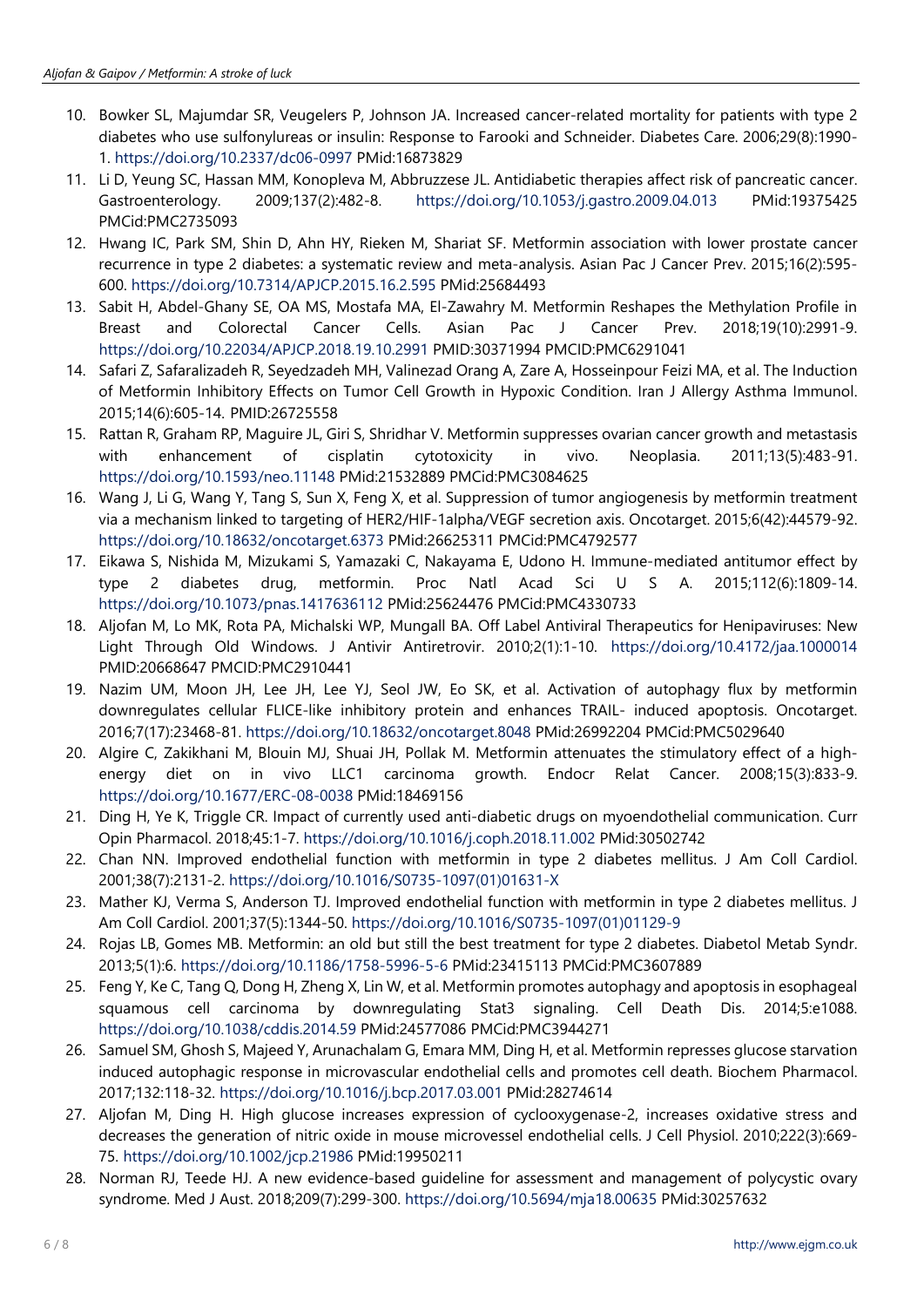- 10. Bowker SL, Majumdar SR, Veugelers P, Johnson JA. Increased cancer-related mortality for patients with type 2 diabetes who use sulfonylureas or insulin: Response to Farooki and Schneider. Diabetes Care. 2006;29(8):1990- 1. <https://doi.org/10.2337/dc06-0997> PMid:16873829
- 11. Li D, Yeung SC, Hassan MM, Konopleva M, Abbruzzese JL. Antidiabetic therapies affect risk of pancreatic cancer. Gastroenterology. 2009;137(2):482-8. <https://doi.org/10.1053/j.gastro.2009.04.013> PMid:19375425 PMCid:PMC2735093
- 12. Hwang IC, Park SM, Shin D, Ahn HY, Rieken M, Shariat SF. Metformin association with lower prostate cancer recurrence in type 2 diabetes: a systematic review and meta-analysis. Asian Pac J Cancer Prev. 2015;16(2):595- 600. <https://doi.org/10.7314/APJCP.2015.16.2.595> PMid:25684493
- 13. Sabit H, Abdel-Ghany SE, OA MS, Mostafa MA, El-Zawahry M. Metformin Reshapes the Methylation Profile in Breast and Colorectal Cancer Cells. Asian Pac J Cancer Prev. 2018;19(10):2991-9. <https://doi.org/10.22034/APJCP.2018.19.10.2991> PMID:30371994 PMCID:PMC6291041
- 14. Safari Z, Safaralizadeh R, Seyedzadeh MH, Valinezad Orang A, Zare A, Hosseinpour Feizi MA, et al. The Induction of Metformin Inhibitory Effects on Tumor Cell Growth in Hypoxic Condition. Iran J Allergy Asthma Immunol. 2015;14(6):605-14. PMID:26725558
- 15. Rattan R, Graham RP, Maguire JL, Giri S, Shridhar V. Metformin suppresses ovarian cancer growth and metastasis with enhancement of cisplatin cytotoxicity in vivo. Neoplasia. 2011;13(5):483-91. <https://doi.org/10.1593/neo.11148> PMid:21532889 PMCid:PMC3084625
- 16. Wang J, Li G, Wang Y, Tang S, Sun X, Feng X, et al. Suppression of tumor angiogenesis by metformin treatment via a mechanism linked to targeting of HER2/HIF-1alpha/VEGF secretion axis. Oncotarget. 2015;6(42):44579-92. <https://doi.org/10.18632/oncotarget.6373> PMid:26625311 PMCid:PMC4792577
- 17. Eikawa S, Nishida M, Mizukami S, Yamazaki C, Nakayama E, Udono H. Immune-mediated antitumor effect by type 2 diabetes drug, metformin. Proc Natl Acad Sci U S A. 2015;112(6):1809-14. <https://doi.org/10.1073/pnas.1417636112> PMid:25624476 PMCid:PMC4330733
- 18. Aljofan M, Lo MK, Rota PA, Michalski WP, Mungall BA. Off Label Antiviral Therapeutics for Henipaviruses: New Light Through Old Windows. J Antivir Antiretrovir. 2010;2(1):1-10. <https://doi.org/10.4172/jaa.1000014> PMID:20668647 PMCID:PMC2910441
- 19. Nazim UM, Moon JH, Lee JH, Lee YJ, Seol JW, Eo SK, et al. Activation of autophagy flux by metformin downregulates cellular FLICE-like inhibitory protein and enhances TRAIL- induced apoptosis. Oncotarget. 2016;7(17):23468-81. <https://doi.org/10.18632/oncotarget.8048> PMid:26992204 PMCid:PMC5029640
- 20. Algire C, Zakikhani M, Blouin MJ, Shuai JH, Pollak M. Metformin attenuates the stimulatory effect of a highenergy diet on in vivo LLC1 carcinoma growth. Endocr Relat Cancer. 2008;15(3):833-9. <https://doi.org/10.1677/ERC-08-0038> PMid:18469156
- 21. Ding H, Ye K, Triggle CR. Impact of currently used anti-diabetic drugs on myoendothelial communication. Curr Opin Pharmacol. 2018;45:1-7. <https://doi.org/10.1016/j.coph.2018.11.002> PMid:30502742
- 22. Chan NN. Improved endothelial function with metformin in type 2 diabetes mellitus. J Am Coll Cardiol. 2001;38(7):2131-2. [https://doi.org/10.1016/S0735-1097\(01\)01631-X](https://doi.org/10.1016/S0735-1097(01)01631-X)
- 23. Mather KJ, Verma S, Anderson TJ. Improved endothelial function with metformin in type 2 diabetes mellitus. J Am Coll Cardiol. 2001;37(5):1344-50. [https://doi.org/10.1016/S0735-1097\(01\)01129-9](https://doi.org/10.1016/S0735-1097(01)01129-9)
- 24. Rojas LB, Gomes MB. Metformin: an old but still the best treatment for type 2 diabetes. Diabetol Metab Syndr. 2013;5(1):6. <https://doi.org/10.1186/1758-5996-5-6> PMid:23415113 PMCid:PMC3607889
- 25. Feng Y, Ke C, Tang Q, Dong H, Zheng X, Lin W, et al. Metformin promotes autophagy and apoptosis in esophageal squamous cell carcinoma by downregulating Stat3 signaling. Cell Death Dis. 2014;5:e1088. <https://doi.org/10.1038/cddis.2014.59> PMid:24577086 PMCid:PMC3944271
- 26. Samuel SM, Ghosh S, Majeed Y, Arunachalam G, Emara MM, Ding H, et al. Metformin represses glucose starvation induced autophagic response in microvascular endothelial cells and promotes cell death. Biochem Pharmacol. 2017;132:118-32. <https://doi.org/10.1016/j.bcp.2017.03.001> PMid:28274614
- 27. Aljofan M, Ding H. High glucose increases expression of cyclooxygenase-2, increases oxidative stress and decreases the generation of nitric oxide in mouse microvessel endothelial cells. J Cell Physiol. 2010;222(3):669- 75. <https://doi.org/10.1002/jcp.21986> PMid:19950211
- 28. Norman RJ, Teede HJ. A new evidence-based guideline for assessment and management of polycystic ovary syndrome. Med J Aust. 2018;209(7):299-300. <https://doi.org/10.5694/mja18.00635> PMid:30257632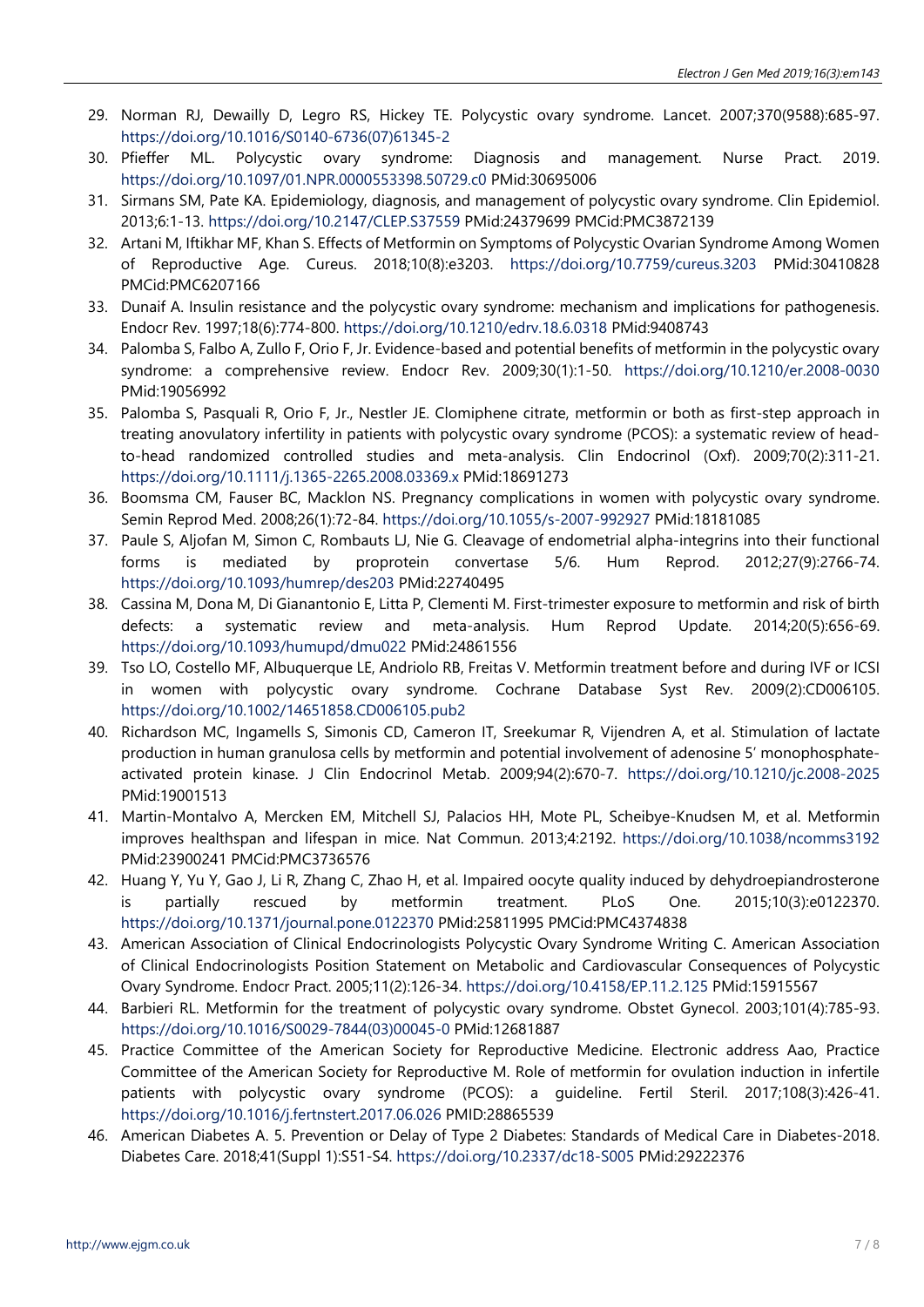- 29. Norman RJ, Dewailly D, Legro RS, Hickey TE. Polycystic ovary syndrome. Lancet. 2007;370(9588):685-97. [https://doi.org/10.1016/S0140-6736\(07\)61345-2](https://doi.org/10.1016/S0140-6736(07)61345-2)
- 30. Pfieffer ML. Polycystic ovary syndrome: Diagnosis and management. Nurse Pract. 2019. <https://doi.org/10.1097/01.NPR.0000553398.50729.c0> PMid:30695006
- 31. Sirmans SM, Pate KA. Epidemiology, diagnosis, and management of polycystic ovary syndrome. Clin Epidemiol. 2013;6:1-13. <https://doi.org/10.2147/CLEP.S37559> PMid:24379699 PMCid:PMC3872139
- 32. Artani M, Iftikhar MF, Khan S. Effects of Metformin on Symptoms of Polycystic Ovarian Syndrome Among Women of Reproductive Age. Cureus. 2018;10(8):e3203. <https://doi.org/10.7759/cureus.3203> PMid:30410828 PMCid:PMC6207166
- 33. Dunaif A. Insulin resistance and the polycystic ovary syndrome: mechanism and implications for pathogenesis. Endocr Rev. 1997;18(6):774-800. <https://doi.org/10.1210/edrv.18.6.0318> PMid:9408743
- 34. Palomba S, Falbo A, Zullo F, Orio F, Jr. Evidence-based and potential benefits of metformin in the polycystic ovary syndrome: a comprehensive review. Endocr Rev. 2009;30(1):1-50. <https://doi.org/10.1210/er.2008-0030> PMid:19056992
- 35. Palomba S, Pasquali R, Orio F, Jr., Nestler JE. Clomiphene citrate, metformin or both as first-step approach in treating anovulatory infertility in patients with polycystic ovary syndrome (PCOS): a systematic review of headto-head randomized controlled studies and meta-analysis. Clin Endocrinol (Oxf). 2009;70(2):311-21. <https://doi.org/10.1111/j.1365-2265.2008.03369.x> PMid:18691273
- 36. Boomsma CM, Fauser BC, Macklon NS. Pregnancy complications in women with polycystic ovary syndrome. Semin Reprod Med. 2008;26(1):72-84. <https://doi.org/10.1055/s-2007-992927> PMid:18181085
- 37. Paule S, Aljofan M, Simon C, Rombauts LJ, Nie G. Cleavage of endometrial alpha-integrins into their functional forms is mediated by proprotein convertase 5/6. Hum Reprod. 2012;27(9):2766-74. <https://doi.org/10.1093/humrep/des203> PMid:22740495
- 38. Cassina M, Dona M, Di Gianantonio E, Litta P, Clementi M. First-trimester exposure to metformin and risk of birth defects: a systematic review and meta-analysis. Hum Reprod Update. 2014;20(5):656-69. <https://doi.org/10.1093/humupd/dmu022> PMid:24861556
- 39. Tso LO, Costello MF, Albuquerque LE, Andriolo RB, Freitas V. Metformin treatment before and during IVF or ICSI in women with polycystic ovary syndrome. Cochrane Database Syst Rev. 2009(2):CD006105. <https://doi.org/10.1002/14651858.CD006105.pub2>
- 40. Richardson MC, Ingamells S, Simonis CD, Cameron IT, Sreekumar R, Vijendren A, et al. Stimulation of lactate production in human granulosa cells by metformin and potential involvement of adenosine 5' monophosphateactivated protein kinase. J Clin Endocrinol Metab. 2009;94(2):670-7. <https://doi.org/10.1210/jc.2008-2025> PMid:19001513
- 41. Martin-Montalvo A, Mercken EM, Mitchell SJ, Palacios HH, Mote PL, Scheibye-Knudsen M, et al. Metformin improves healthspan and lifespan in mice. Nat Commun. 2013;4:2192. <https://doi.org/10.1038/ncomms3192> PMid:23900241 PMCid:PMC3736576
- 42. Huang Y, Yu Y, Gao J, Li R, Zhang C, Zhao H, et al. Impaired oocyte quality induced by dehydroepiandrosterone is partially rescued by metformin treatment. PLoS One. 2015;10(3):e0122370. <https://doi.org/10.1371/journal.pone.0122370> PMid:25811995 PMCid:PMC4374838
- 43. American Association of Clinical Endocrinologists Polycystic Ovary Syndrome Writing C. American Association of Clinical Endocrinologists Position Statement on Metabolic and Cardiovascular Consequences of Polycystic Ovary Syndrome. Endocr Pract. 2005;11(2):126-34. <https://doi.org/10.4158/EP.11.2.125> PMid:15915567
- 44. Barbieri RL. Metformin for the treatment of polycystic ovary syndrome. Obstet Gynecol. 2003;101(4):785-93. [https://doi.org/10.1016/S0029-7844\(03\)00045-0](https://doi.org/10.1016/S0029-7844(03)00045-0) PMid:12681887
- 45. Practice Committee of the American Society for Reproductive Medicine. Electronic address Aao, Practice Committee of the American Society for Reproductive M. Role of metformin for ovulation induction in infertile patients with polycystic ovary syndrome (PCOS): a guideline. Fertil Steril. 2017;108(3):426-41. <https://doi.org/10.1016/j.fertnstert.2017.06.026> PMID:28865539
- 46. American Diabetes A. 5. Prevention or Delay of Type 2 Diabetes: Standards of Medical Care in Diabetes-2018. Diabetes Care. 2018;41(Suppl 1):S51-S4. <https://doi.org/10.2337/dc18-S005> PMid:29222376